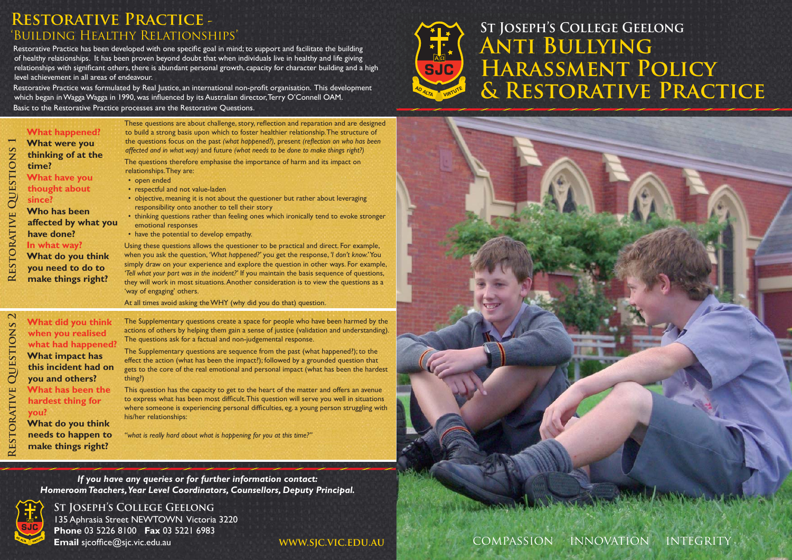# **Restorative Practice -**  'Building Healthy Relationships'

Restorative Practice has been developed with one specific goal in mind; to support and facilitate the building of healthy relationships. It has been proven beyond doubt that when individuals live in healthy and life giving relationships with significant others, there is abundant personal growth, capacity for character building and a high level achievement in all areas of endeavour.

Restorative Practice was formulated by Real Justice, an international non-profit organisation. This development which began in Wagga Wagga in 1990, was influenced by its Australian director, Terry O'Connell OAM. Basic to the Restorative Practice processes are the Restorative Questions.

| QUESTIONS<br>RESTORATIVE                         | <b>What happened?</b><br>What were you<br>thinking of at the<br>time?<br><b>What have you</b><br>thought about<br>since?<br>Who has been<br>affected by what you<br>have done?<br>In what way?<br>What do you think<br>you need to do to<br>make things right? | These questions are about challenge, story, reflection and reparation and are designed<br>to build a strong basis upon which to foster healthier relationship. The structure of<br>the questions focus on the past (what happened?), present (reflection on who has been<br>affected and in what way) and future (what needs to be done to make things right?)<br>The questions therefore emphasise the importance of harm and its impact on<br>relationships. They are:<br>• open ended<br>• respectful and not value-laden<br>• objective, meaning it is not about the questioner but rather about leveraging<br>responsibility onto another to tell their story<br>• thinking questions rather than feeling ones which ironically tend to evoke stronger<br>emotional responses<br>• have the potential to develop empathy.<br>Using these questions allows the questioner to be practical and direct. For example,<br>when you ask the question, 'What happened?' you get the response, 'I don't know.'You<br>simply draw on your experience and explore the question in other ways. For example,<br>'Tell what your part was in the incident?' If you maintain the basis sequence of questions,<br>they will work in most situations. Another consideration is to view the questions as a<br>'way of engaging' others. |  |
|--------------------------------------------------|----------------------------------------------------------------------------------------------------------------------------------------------------------------------------------------------------------------------------------------------------------------|-----------------------------------------------------------------------------------------------------------------------------------------------------------------------------------------------------------------------------------------------------------------------------------------------------------------------------------------------------------------------------------------------------------------------------------------------------------------------------------------------------------------------------------------------------------------------------------------------------------------------------------------------------------------------------------------------------------------------------------------------------------------------------------------------------------------------------------------------------------------------------------------------------------------------------------------------------------------------------------------------------------------------------------------------------------------------------------------------------------------------------------------------------------------------------------------------------------------------------------------------------------------------------------------------------------------------------|--|
| $\mathbf{\Omega}$<br><b>QUESTIONS</b><br>ORATIVE | What did you think<br>when you realised<br>what had happened?<br>What impact has<br>this incident had on<br>you and others?<br>What has been the<br>hardest thing for<br>you?<br>What do you think                                                             | At all times avoid asking the WHY (why did you do that) question.<br>The Supplementary questions create a space for people who have been harmed by the<br>actions of others by helping them gain a sense of justice (validation and understanding).<br>The questions ask for a factual and non-judgemental response.<br>The Supplementary questions are sequence from the past (what happened?); to the<br>effect the action (what has been the impact?); followed by a grounded question that<br>gets to the core of the real emotional and personal impact (what has been the hardest<br>thing?)<br>This question has the capacity to get to the heart of the matter and offers an avenue<br>to express what has been most difficult. This question will serve you well in situations<br>where someone is experiencing personal difficulties, eg. a young person struggling with<br>his/her relationships:                                                                                                                                                                                                                                                                                                                                                                                                                |  |

*"what is really hard about what is happening for you at this time?"*

*If you have any queries or for further information contact: Homeroom Teachers, Year Level Coordinators, Counsellors, Deputy Principal.*



135 Aphrasia Street NEWTOWN Victoria 3220 **Phone** 03 5226 8100 **Fax** 03 5221 6983 **Email** sjcoffice@sjc.vic.edu.au **St Joseph's College Geelong**

**www.sjc.vic.edu.au**